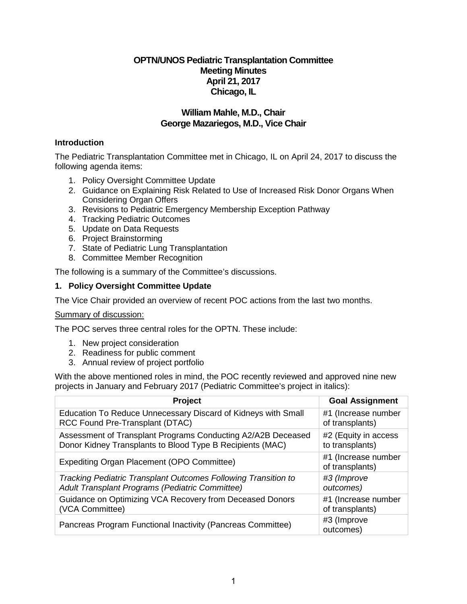# **OPTN/UNOS Pediatric Transplantation Committee Meeting Minutes April 21, 2017 Chicago, IL**

# **William Mahle, M.D., Chair George Mazariegos, M.D., Vice Chair**

## **Introduction**

The Pediatric Transplantation Committee met in Chicago, IL on April 24, 2017 to discuss the following agenda items:

- 1. Policy Oversight Committee Update
- 2. Guidance on Explaining Risk Related to Use of Increased Risk Donor Organs When Considering Organ Offers
- 3. Revisions to Pediatric Emergency Membership Exception Pathway
- 4. Tracking Pediatric Outcomes
- 5. Update on Data Requests
- 6. Project Brainstorming
- 7. State of Pediatric Lung Transplantation
- 8. Committee Member Recognition

The following is a summary of the Committee's discussions.

#### **1. Policy Oversight Committee Update**

The Vice Chair provided an overview of recent POC actions from the last two months.

#### Summary of discussion:

The POC serves three central roles for the OPTN. These include:

- 1. New project consideration
- 2. Readiness for public comment
- 3. Annual review of project portfolio

With the above mentioned roles in mind, the POC recently reviewed and approved nine new projects in January and February 2017 (Pediatric Committee's project in italics):

| Project                                                        | <b>Goal Assignment</b>                 |
|----------------------------------------------------------------|----------------------------------------|
| Education To Reduce Unnecessary Discard of Kidneys with Small  | #1 (Increase number                    |
| RCC Found Pre-Transplant (DTAC)                                | of transplants)                        |
| Assessment of Transplant Programs Conducting A2/A2B Deceased   | #2 (Equity in access                   |
| Donor Kidney Transplants to Blood Type B Recipients (MAC)      | to transplants)                        |
| Expediting Organ Placement (OPO Committee)                     | #1 (Increase number<br>of transplants) |
| Tracking Pediatric Transplant Outcomes Following Transition to | #3 (Improve                            |
| Adult Transplant Programs (Pediatric Committee)                | outcomes)                              |
| Guidance on Optimizing VCA Recovery from Deceased Donors       | #1 (Increase number                    |
| (VCA Committee)                                                | of transplants)                        |
| Pancreas Program Functional Inactivity (Pancreas Committee)    | #3 (Improve<br>outcomes)               |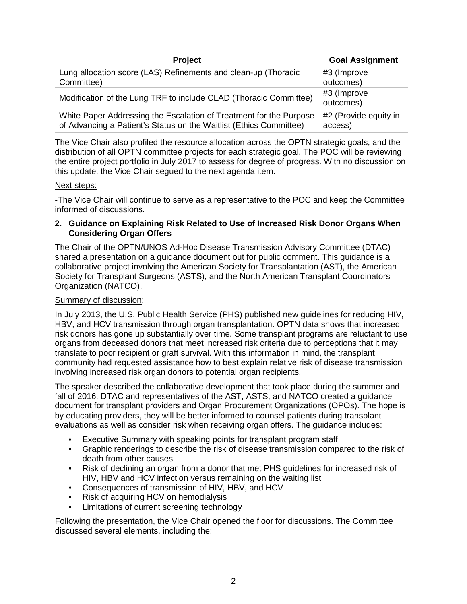| <b>Project</b>                                                     | <b>Goal Assignment</b>   |
|--------------------------------------------------------------------|--------------------------|
| Lung allocation score (LAS) Refinements and clean-up (Thoracic     | #3 (Improve              |
| Committee)                                                         | outcomes)                |
| Modification of the Lung TRF to include CLAD (Thoracic Committee)  | #3 (Improve<br>outcomes) |
| White Paper Addressing the Escalation of Treatment for the Purpose | #2 (Provide equity in    |
| of Advancing a Patient's Status on the Waitlist (Ethics Committee) | access)                  |

The Vice Chair also profiled the resource allocation across the OPTN strategic goals, and the distribution of all OPTN committee projects for each strategic goal. The POC will be reviewing the entire project portfolio in July 2017 to assess for degree of progress. With no discussion on this update, the Vice Chair segued to the next agenda item.

## Next steps:

-The Vice Chair will continue to serve as a representative to the POC and keep the Committee informed of discussions.

#### **2. Guidance on Explaining Risk Related to Use of Increased Risk Donor Organs When Considering Organ Offers**

The Chair of the OPTN/UNOS Ad-Hoc Disease Transmission Advisory Committee (DTAC) shared a presentation on a guidance document out for public comment. This guidance is a collaborative project involving the American Society for Transplantation (AST), the American Society for Transplant Surgeons (ASTS), and the North American Transplant Coordinators Organization (NATCO).

### Summary of discussion:

In July 2013, the U.S. Public Health Service (PHS) published new guidelines for reducing HIV, HBV, and HCV transmission through organ transplantation. OPTN data shows that increased risk donors has gone up substantially over time. Some transplant programs are reluctant to use organs from deceased donors that meet increased risk criteria due to perceptions that it may translate to poor recipient or graft survival. With this information in mind, the transplant community had requested assistance how to best explain relative risk of disease transmission involving increased risk organ donors to potential organ recipients.

The speaker described the collaborative development that took place during the summer and fall of 2016. DTAC and representatives of the AST, ASTS, and NATCO created a guidance document for transplant providers and Organ Procurement Organizations (OPOs). The hope is by educating providers, they will be better informed to counsel patients during transplant evaluations as well as consider risk when receiving organ offers. The guidance includes:

- Executive Summary with speaking points for transplant program staff
- Graphic renderings to describe the risk of disease transmission compared to the risk of death from other causes
- Risk of declining an organ from a donor that met PHS guidelines for increased risk of HIV, HBV and HCV infection versus remaining on the waiting list
- Consequences of transmission of HIV, HBV, and HCV
- Risk of acquiring HCV on hemodialysis
- Limitations of current screening technology

Following the presentation, the Vice Chair opened the floor for discussions. The Committee discussed several elements, including the: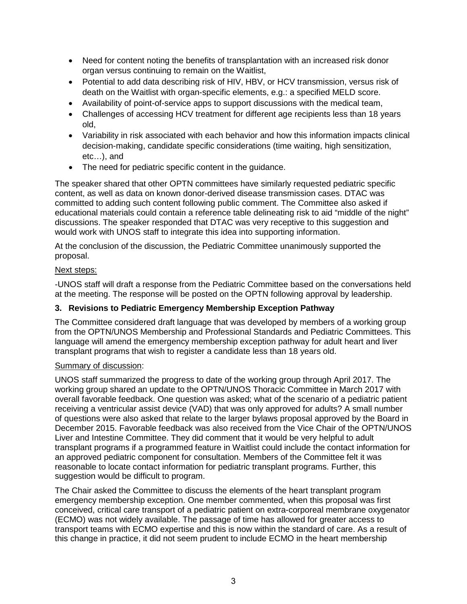- Need for content noting the benefits of transplantation with an increased risk donor organ versus continuing to remain on the Waitlist,
- Potential to add data describing risk of HIV, HBV, or HCV transmission, versus risk of death on the Waitlist with organ-specific elements, e.g.: a specified MELD score.
- Availability of point-of-service apps to support discussions with the medical team,
- Challenges of accessing HCV treatment for different age recipients less than 18 years old,
- Variability in risk associated with each behavior and how this information impacts clinical decision-making, candidate specific considerations (time waiting, high sensitization, etc…), and
- The need for pediatric specific content in the guidance.

The speaker shared that other OPTN committees have similarly requested pediatric specific content, as well as data on known donor-derived disease transmission cases. DTAC was committed to adding such content following public comment. The Committee also asked if educational materials could contain a reference table delineating risk to aid "middle of the night" discussions. The speaker responded that DTAC was very receptive to this suggestion and would work with UNOS staff to integrate this idea into supporting information.

At the conclusion of the discussion, the Pediatric Committee unanimously supported the proposal.

# Next steps:

-UNOS staff will draft a response from the Pediatric Committee based on the conversations held at the meeting. The response will be posted on the OPTN following approval by leadership.

# **3. Revisions to Pediatric Emergency Membership Exception Pathway**

The Committee considered draft language that was developed by members of a working group from the OPTN/UNOS Membership and Professional Standards and Pediatric Committees. This language will amend the emergency membership exception pathway for adult heart and liver transplant programs that wish to register a candidate less than 18 years old.

# Summary of discussion:

UNOS staff summarized the progress to date of the working group through April 2017. The working group shared an update to the OPTN/UNOS Thoracic Committee in March 2017 with overall favorable feedback. One question was asked; what of the scenario of a pediatric patient receiving a ventricular assist device (VAD) that was only approved for adults? A small number of questions were also asked that relate to the larger bylaws proposal approved by the Board in December 2015. Favorable feedback was also received from the Vice Chair of the OPTN/UNOS Liver and Intestine Committee. They did comment that it would be very helpful to adult transplant programs if a programmed feature in Waitlist could include the contact information for an approved pediatric component for consultation. Members of the Committee felt it was reasonable to locate contact information for pediatric transplant programs. Further, this suggestion would be difficult to program.

The Chair asked the Committee to discuss the elements of the heart transplant program emergency membership exception. One member commented, when this proposal was first conceived, critical care transport of a pediatric patient on extra-corporeal membrane oxygenator (ECMO) was not widely available. The passage of time has allowed for greater access to transport teams with ECMO expertise and this is now within the standard of care. As a result of this change in practice, it did not seem prudent to include ECMO in the heart membership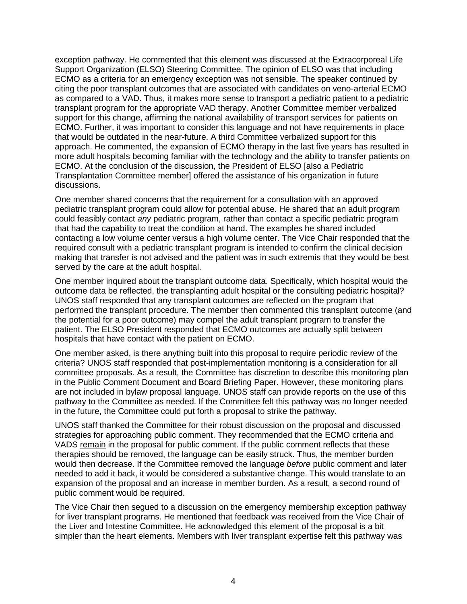exception pathway. He commented that this element was discussed at the Extracorporeal Life Support Organization (ELSO) Steering Committee. The opinion of ELSO was that including ECMO as a criteria for an emergency exception was not sensible. The speaker continued by citing the poor transplant outcomes that are associated with candidates on veno-arterial ECMO as compared to a VAD. Thus, it makes more sense to transport a pediatric patient to a pediatric transplant program for the appropriate VAD therapy. Another Committee member verbalized support for this change, affirming the national availability of transport services for patients on ECMO. Further, it was important to consider this language and not have requirements in place that would be outdated in the near-future. A third Committee verbalized support for this approach. He commented, the expansion of ECMO therapy in the last five years has resulted in more adult hospitals becoming familiar with the technology and the ability to transfer patients on ECMO. At the conclusion of the discussion, the President of ELSO [also a Pediatric Transplantation Committee member] offered the assistance of his organization in future discussions.

One member shared concerns that the requirement for a consultation with an approved pediatric transplant program could allow for potential abuse. He shared that an adult program could feasibly contact *any* pediatric program, rather than contact a specific pediatric program that had the capability to treat the condition at hand. The examples he shared included contacting a low volume center versus a high volume center. The Vice Chair responded that the required consult with a pediatric transplant program is intended to confirm the clinical decision making that transfer is not advised and the patient was in such extremis that they would be best served by the care at the adult hospital.

One member inquired about the transplant outcome data. Specifically, which hospital would the outcome data be reflected, the transplanting adult hospital or the consulting pediatric hospital? UNOS staff responded that any transplant outcomes are reflected on the program that performed the transplant procedure. The member then commented this transplant outcome (and the potential for a poor outcome) may compel the adult transplant program to transfer the patient. The ELSO President responded that ECMO outcomes are actually split between hospitals that have contact with the patient on ECMO.

One member asked, is there anything built into this proposal to require periodic review of the criteria? UNOS staff responded that post-implementation monitoring is a consideration for all committee proposals. As a result, the Committee has discretion to describe this monitoring plan in the Public Comment Document and Board Briefing Paper. However, these monitoring plans are not included in bylaw proposal language. UNOS staff can provide reports on the use of this pathway to the Committee as needed. If the Committee felt this pathway was no longer needed in the future, the Committee could put forth a proposal to strike the pathway.

UNOS staff thanked the Committee for their robust discussion on the proposal and discussed strategies for approaching public comment. They recommended that the ECMO criteria and VADS remain in the proposal for public comment. If the public comment reflects that these therapies should be removed, the language can be easily struck. Thus, the member burden would then decrease. If the Committee removed the language *before* public comment and later needed to add it back, it would be considered a substantive change. This would translate to an expansion of the proposal and an increase in member burden. As a result, a second round of public comment would be required.

The Vice Chair then segued to a discussion on the emergency membership exception pathway for liver transplant programs. He mentioned that feedback was received from the Vice Chair of the Liver and Intestine Committee. He acknowledged this element of the proposal is a bit simpler than the heart elements. Members with liver transplant expertise felt this pathway was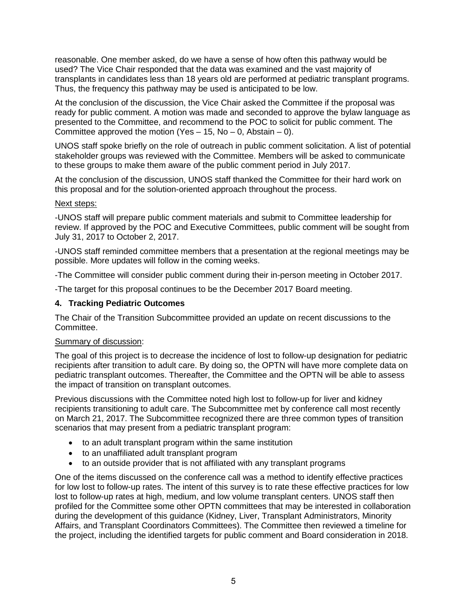reasonable. One member asked, do we have a sense of how often this pathway would be used? The Vice Chair responded that the data was examined and the vast majority of transplants in candidates less than 18 years old are performed at pediatric transplant programs. Thus, the frequency this pathway may be used is anticipated to be low.

At the conclusion of the discussion, the Vice Chair asked the Committee if the proposal was ready for public comment. A motion was made and seconded to approve the bylaw language as presented to the Committee, and recommend to the POC to solicit for public comment. The Committee approved the motion (Yes  $-$  15, No  $-$  0, Abstain  $-$  0).

UNOS staff spoke briefly on the role of outreach in public comment solicitation. A list of potential stakeholder groups was reviewed with the Committee. Members will be asked to communicate to these groups to make them aware of the public comment period in July 2017.

At the conclusion of the discussion, UNOS staff thanked the Committee for their hard work on this proposal and for the solution-oriented approach throughout the process.

#### Next steps:

-UNOS staff will prepare public comment materials and submit to Committee leadership for review. If approved by the POC and Executive Committees, public comment will be sought from July 31, 2017 to October 2, 2017.

-UNOS staff reminded committee members that a presentation at the regional meetings may be possible. More updates will follow in the coming weeks.

-The Committee will consider public comment during their in-person meeting in October 2017.

-The target for this proposal continues to be the December 2017 Board meeting.

#### **4. Tracking Pediatric Outcomes**

The Chair of the Transition Subcommittee provided an update on recent discussions to the Committee.

#### Summary of discussion:

The goal of this project is to decrease the incidence of lost to follow-up designation for pediatric recipients after transition to adult care. By doing so, the OPTN will have more complete data on pediatric transplant outcomes. Thereafter, the Committee and the OPTN will be able to assess the impact of transition on transplant outcomes.

Previous discussions with the Committee noted high lost to follow-up for liver and kidney recipients transitioning to adult care. The Subcommittee met by conference call most recently on March 21, 2017. The Subcommittee recognized there are three common types of transition scenarios that may present from a pediatric transplant program:

- to an adult transplant program within the same institution
- to an unaffiliated adult transplant program
- to an outside provider that is not affiliated with any transplant programs

One of the items discussed on the conference call was a method to identify effective practices for low lost to follow-up rates. The intent of this survey is to rate these effective practices for low lost to follow-up rates at high, medium, and low volume transplant centers. UNOS staff then profiled for the Committee some other OPTN committees that may be interested in collaboration during the development of this guidance (Kidney, Liver, Transplant Administrators, Minority Affairs, and Transplant Coordinators Committees). The Committee then reviewed a timeline for the project, including the identified targets for public comment and Board consideration in 2018.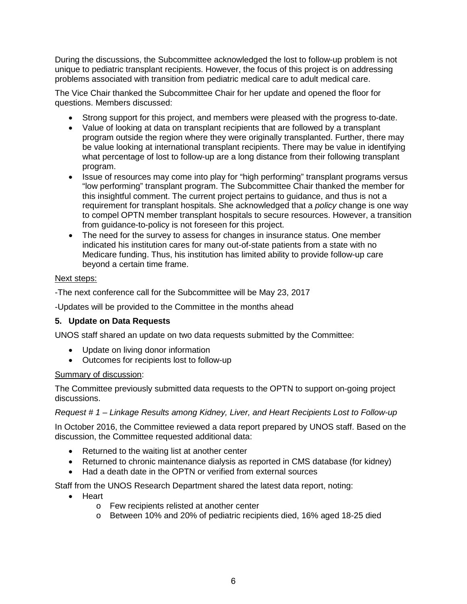During the discussions, the Subcommittee acknowledged the lost to follow-up problem is not unique to pediatric transplant recipients. However, the focus of this project is on addressing problems associated with transition from pediatric medical care to adult medical care.

The Vice Chair thanked the Subcommittee Chair for her update and opened the floor for questions. Members discussed:

- Strong support for this project, and members were pleased with the progress to-date.
- Value of looking at data on transplant recipients that are followed by a transplant program outside the region where they were originally transplanted. Further, there may be value looking at international transplant recipients. There may be value in identifying what percentage of lost to follow-up are a long distance from their following transplant program.
- Issue of resources may come into play for "high performing" transplant programs versus "low performing" transplant program. The Subcommittee Chair thanked the member for this insightful comment. The current project pertains to guidance, and thus is not a requirement for transplant hospitals. She acknowledged that a *policy* change is one way to compel OPTN member transplant hospitals to secure resources. However, a transition from guidance-to-policy is not foreseen for this project.
- The need for the survey to assess for changes in insurance status. One member indicated his institution cares for many out-of-state patients from a state with no Medicare funding. Thus, his institution has limited ability to provide follow-up care beyond a certain time frame.

#### Next steps:

-The next conference call for the Subcommittee will be May 23, 2017

-Updates will be provided to the Committee in the months ahead

#### **5. Update on Data Requests**

UNOS staff shared an update on two data requests submitted by the Committee:

- Update on living donor information
- Outcomes for recipients lost to follow-up

#### Summary of discussion:

The Committee previously submitted data requests to the OPTN to support on-going project discussions.

#### *Request # 1 – Linkage Results among Kidney, Liver, and Heart Recipients Lost to Follow-up*

In October 2016, the Committee reviewed a data report prepared by UNOS staff. Based on the discussion, the Committee requested additional data:

- Returned to the waiting list at another center
- Returned to chronic maintenance dialysis as reported in CMS database (for kidney)
- Had a death date in the OPTN or verified from external sources

Staff from the UNOS Research Department shared the latest data report, noting:

- Heart
	- o Few recipients relisted at another center
	- o Between 10% and 20% of pediatric recipients died, 16% aged 18-25 died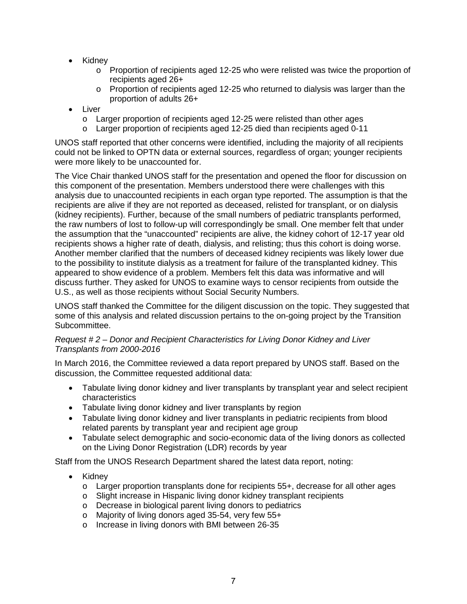- Kidney
	- $\circ$  Proportion of recipients aged 12-25 who were relisted was twice the proportion of recipients aged 26+
	- $\circ$  Proportion of recipients aged 12-25 who returned to dialysis was larger than the proportion of adults 26+
- Liver
	- o Larger proportion of recipients aged 12-25 were relisted than other ages
	- o Larger proportion of recipients aged 12-25 died than recipients aged 0-11

UNOS staff reported that other concerns were identified, including the majority of all recipients could not be linked to OPTN data or external sources, regardless of organ; younger recipients were more likely to be unaccounted for.

The Vice Chair thanked UNOS staff for the presentation and opened the floor for discussion on this component of the presentation. Members understood there were challenges with this analysis due to unaccounted recipients in each organ type reported. The assumption is that the recipients are alive if they are not reported as deceased, relisted for transplant, or on dialysis (kidney recipients). Further, because of the small numbers of pediatric transplants performed, the raw numbers of lost to follow-up will correspondingly be small. One member felt that under the assumption that the "unaccounted" recipients are alive, the kidney cohort of 12-17 year old recipients shows a higher rate of death, dialysis, and relisting; thus this cohort is doing worse. Another member clarified that the numbers of deceased kidney recipients was likely lower due to the possibility to institute dialysis as a treatment for failure of the transplanted kidney. This appeared to show evidence of a problem. Members felt this data was informative and will discuss further. They asked for UNOS to examine ways to censor recipients from outside the U.S., as well as those recipients without Social Security Numbers.

UNOS staff thanked the Committee for the diligent discussion on the topic. They suggested that some of this analysis and related discussion pertains to the on-going project by the Transition Subcommittee.

#### *Request # 2* – *Donor and Recipient Characteristics for Living Donor Kidney and Liver Transplants from 2000-2016*

In March 2016, the Committee reviewed a data report prepared by UNOS staff. Based on the discussion, the Committee requested additional data:

- Tabulate living donor kidney and liver transplants by transplant year and select recipient characteristics
- Tabulate living donor kidney and liver transplants by region
- Tabulate living donor kidney and liver transplants in pediatric recipients from blood related parents by transplant year and recipient age group
- Tabulate select demographic and socio-economic data of the living donors as collected on the Living Donor Registration (LDR) records by year

Staff from the UNOS Research Department shared the latest data report, noting:

- Kidney
	- o Larger proportion transplants done for recipients 55+, decrease for all other ages
	- o Slight increase in Hispanic living donor kidney transplant recipients
	- o Decrease in biological parent living donors to pediatrics
	- o Majority of living donors aged 35-54, very few 55+
	- o Increase in living donors with BMI between 26-35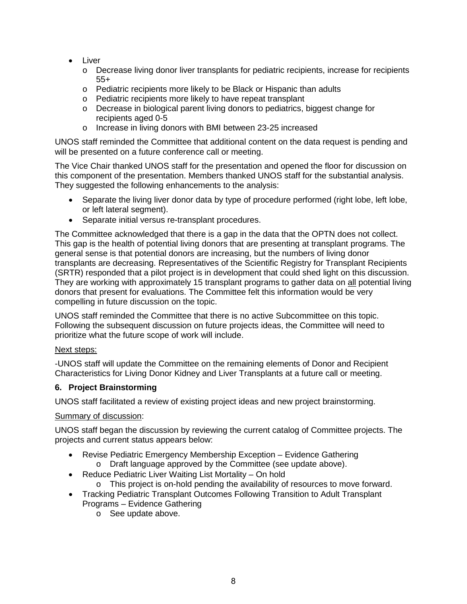- Liver
	- o Decrease living donor liver transplants for pediatric recipients, increase for recipients 55+
	- o Pediatric recipients more likely to be Black or Hispanic than adults
	- o Pediatric recipients more likely to have repeat transplant
	- o Decrease in biological parent living donors to pediatrics, biggest change for recipients aged 0-5
	- o Increase in living donors with BMI between 23-25 increased

UNOS staff reminded the Committee that additional content on the data request is pending and will be presented on a future conference call or meeting.

The Vice Chair thanked UNOS staff for the presentation and opened the floor for discussion on this component of the presentation. Members thanked UNOS staff for the substantial analysis. They suggested the following enhancements to the analysis:

- Separate the living liver donor data by type of procedure performed (right lobe, left lobe, or left lateral segment).
- Separate initial versus re-transplant procedures.

The Committee acknowledged that there is a gap in the data that the OPTN does not collect. This gap is the health of potential living donors that are presenting at transplant programs. The general sense is that potential donors are increasing, but the numbers of living donor transplants are decreasing. Representatives of the Scientific Registry for Transplant Recipients (SRTR) responded that a pilot project is in development that could shed light on this discussion. They are working with approximately 15 transplant programs to gather data on all potential living donors that present for evaluations. The Committee felt this information would be very compelling in future discussion on the topic.

UNOS staff reminded the Committee that there is no active Subcommittee on this topic. Following the subsequent discussion on future projects ideas, the Committee will need to prioritize what the future scope of work will include.

#### Next steps:

-UNOS staff will update the Committee on the remaining elements of Donor and Recipient Characteristics for Living Donor Kidney and Liver Transplants at a future call or meeting.

#### **6. Project Brainstorming**

UNOS staff facilitated a review of existing project ideas and new project brainstorming.

#### Summary of discussion:

UNOS staff began the discussion by reviewing the current catalog of Committee projects. The projects and current status appears below:

- Revise Pediatric Emergency Membership Exception Evidence Gathering o Draft language approved by the Committee (see update above).
- Reduce Pediatric Liver Waiting List Mortality On hold
	- o This project is on-hold pending the availability of resources to move forward.
- Tracking Pediatric Transplant Outcomes Following Transition to Adult Transplant Programs – Evidence Gathering
	- o See update above.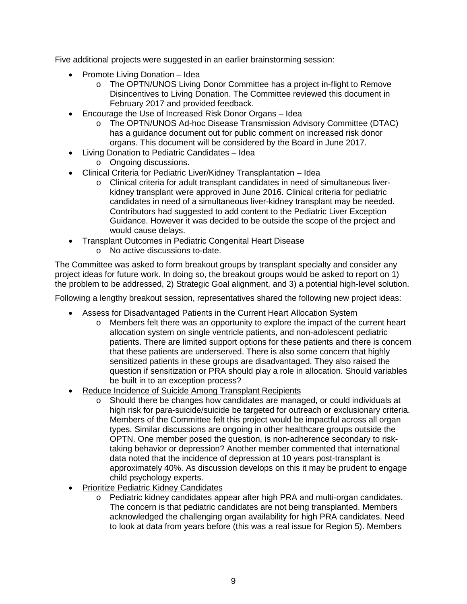Five additional projects were suggested in an earlier brainstorming session:

- Promote Living Donation Idea
	- o The OPTN/UNOS Living Donor Committee has a project in-flight to Remove Disincentives to Living Donation. The Committee reviewed this document in February 2017 and provided feedback.
- Encourage the Use of Increased Risk Donor Organs Idea
	- o The OPTN/UNOS Ad-hoc Disease Transmission Advisory Committee (DTAC) has a guidance document out for public comment on increased risk donor organs. This document will be considered by the Board in June 2017.
- Living Donation to Pediatric Candidates Idea o Ongoing discussions.
- Clinical Criteria for Pediatric Liver/Kidney Transplantation Idea
	- o Clinical criteria for adult transplant candidates in need of simultaneous liverkidney transplant were approved in June 2016. Clinical criteria for pediatric candidates in need of a simultaneous liver-kidney transplant may be needed. Contributors had suggested to add content to the Pediatric Liver Exception Guidance. However it was decided to be outside the scope of the project and would cause delays.
- Transplant Outcomes in Pediatric Congenital Heart Disease
	- o No active discussions to-date.

The Committee was asked to form breakout groups by transplant specialty and consider any project ideas for future work. In doing so, the breakout groups would be asked to report on 1) the problem to be addressed, 2) Strategic Goal alignment, and 3) a potential high-level solution.

Following a lengthy breakout session, representatives shared the following new project ideas:

- Assess for Disadvantaged Patients in the Current Heart Allocation System
	- o Members felt there was an opportunity to explore the impact of the current heart allocation system on single ventricle patients, and non-adolescent pediatric patients. There are limited support options for these patients and there is concern that these patients are underserved. There is also some concern that highly sensitized patients in these groups are disadvantaged. They also raised the question if sensitization or PRA should play a role in allocation. Should variables be built in to an exception process?
- Reduce Incidence of Suicide Among Transplant Recipients
	- o Should there be changes how candidates are managed, or could individuals at high risk for para-suicide/suicide be targeted for outreach or exclusionary criteria. Members of the Committee felt this project would be impactful across all organ types. Similar discussions are ongoing in other healthcare groups outside the OPTN. One member posed the question, is non-adherence secondary to risktaking behavior or depression? Another member commented that international data noted that the incidence of depression at 10 years post-transplant is approximately 40%. As discussion develops on this it may be prudent to engage child psychology experts.
- Prioritize Pediatric Kidney Candidates
	- o Pediatric kidney candidates appear after high PRA and multi-organ candidates. The concern is that pediatric candidates are not being transplanted. Members acknowledged the challenging organ availability for high PRA candidates. Need to look at data from years before (this was a real issue for Region 5). Members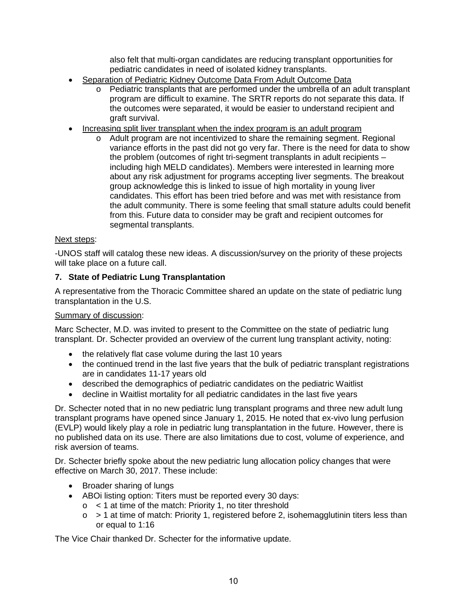also felt that multi-organ candidates are reducing transplant opportunities for pediatric candidates in need of isolated kidney transplants.

- Separation of Pediatric Kidney Outcome Data From Adult Outcome Data
	- o Pediatric transplants that are performed under the umbrella of an adult transplant program are difficult to examine. The SRTR reports do not separate this data. If the outcomes were separated, it would be easier to understand recipient and graft survival.
- Increasing split liver transplant when the index program is an adult program
	- o Adult program are not incentivized to share the remaining segment. Regional variance efforts in the past did not go very far. There is the need for data to show the problem (outcomes of right tri-segment transplants in adult recipients – including high MELD candidates). Members were interested in learning more about any risk adjustment for programs accepting liver segments. The breakout group acknowledge this is linked to issue of high mortality in young liver candidates. This effort has been tried before and was met with resistance from the adult community. There is some feeling that small stature adults could benefit from this. Future data to consider may be graft and recipient outcomes for segmental transplants.

#### Next steps:

-UNOS staff will catalog these new ideas. A discussion/survey on the priority of these projects will take place on a future call.

## **7. State of Pediatric Lung Transplantation**

A representative from the Thoracic Committee shared an update on the state of pediatric lung transplantation in the U.S.

#### Summary of discussion:

Marc Schecter, M.D. was invited to present to the Committee on the state of pediatric lung transplant. Dr. Schecter provided an overview of the current lung transplant activity, noting:

- the relatively flat case volume during the last 10 years
- the continued trend in the last five years that the bulk of pediatric transplant registrations are in candidates 11-17 years old
- described the demographics of pediatric candidates on the pediatric Waitlist
- decline in Waitlist mortality for all pediatric candidates in the last five years

Dr. Schecter noted that in no new pediatric lung transplant programs and three new adult lung transplant programs have opened since January 1, 2015. He noted that ex-vivo lung perfusion (EVLP) would likely play a role in pediatric lung transplantation in the future. However, there is no published data on its use. There are also limitations due to cost, volume of experience, and risk aversion of teams.

Dr. Schecter briefly spoke about the new pediatric lung allocation policy changes that were effective on March 30, 2017. These include:

- Broader sharing of lungs
- ABOI listing option: Titers must be reported every 30 days:
	- $\circ$  < 1 at time of the match: Priority 1, no titer threshold
	- $\circ$  > 1 at time of match: Priority 1, registered before 2, isohemagglutinin titers less than or equal to 1:16

The Vice Chair thanked Dr. Schecter for the informative update.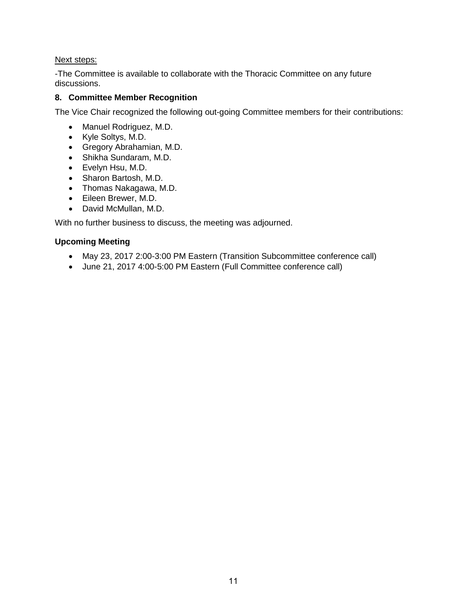### Next steps:

-The Committee is available to collaborate with the Thoracic Committee on any future discussions.

## **8. Committee Member Recognition**

The Vice Chair recognized the following out-going Committee members for their contributions:

- Manuel Rodriguez, M.D.
- Kyle Soltys, M.D.
- Gregory Abrahamian, M.D.
- Shikha Sundaram, M.D.
- Evelyn Hsu, M.D.
- Sharon Bartosh, M.D.
- Thomas Nakagawa, M.D.
- Eileen Brewer, M.D.
- David McMullan, M.D.

With no further business to discuss, the meeting was adjourned.

## **Upcoming Meeting**

- May 23, 2017 2:00-3:00 PM Eastern (Transition Subcommittee conference call)
- June 21, 2017 4:00-5:00 PM Eastern (Full Committee conference call)